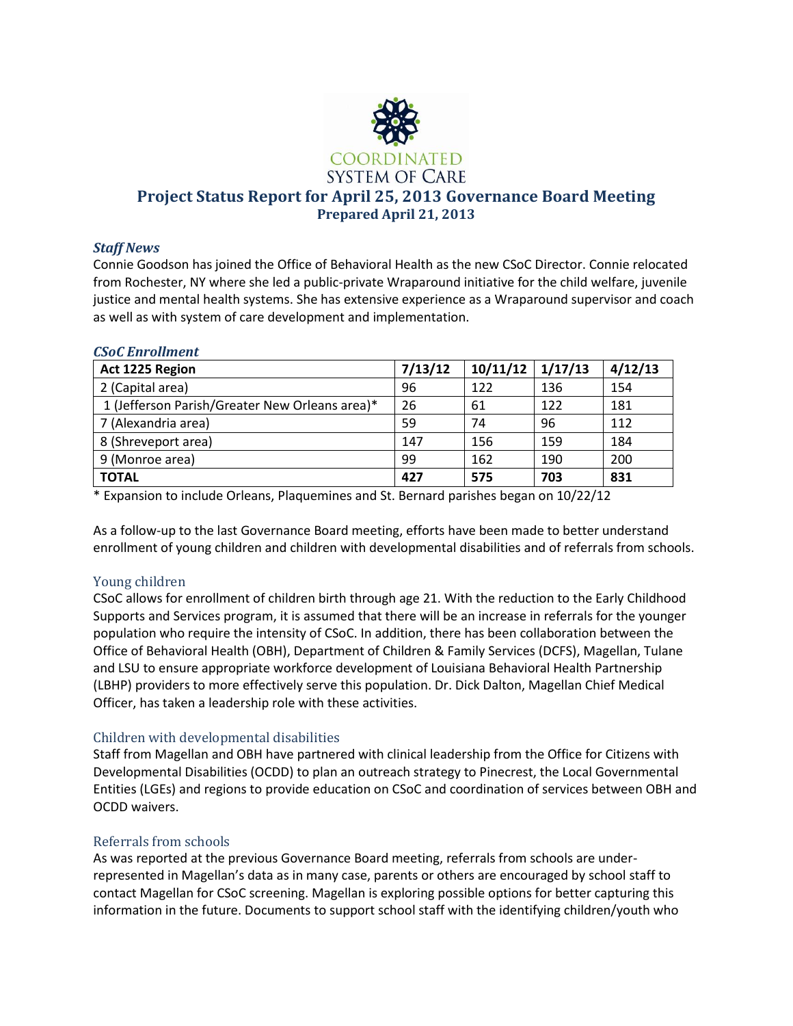

## *Staff News*

Connie Goodson has joined the Office of Behavioral Health as the new CSoC Director. Connie relocated from Rochester, NY where she led a public-private Wraparound initiative for the child welfare, juvenile justice and mental health systems. She has extensive experience as a Wraparound supervisor and coach as well as with system of care development and implementation.

| <b>CSoC Enrollment</b>                         |         |          |         |         |
|------------------------------------------------|---------|----------|---------|---------|
| Act 1225 Region                                | 7/13/12 | 10/11/12 | 1/17/13 | 4/12/13 |
| 2 (Capital area)                               | 96      | 122      | 136     | 154     |
| 1 (Jefferson Parish/Greater New Orleans area)* | 26      | 61       | 122     | 181     |
| 7 (Alexandria area)                            | 59      | 74       | 96      | 112     |
| 8 (Shreveport area)                            | 147     | 156      | 159     | 184     |
| 9 (Monroe area)                                | 99      | 162      | 190     | 200     |
| <b>TOTAL</b>                                   | 427     | 575      | 703     | 831     |

\* Expansion to include Orleans, Plaquemines and St. Bernard parishes began on 10/22/12

As a follow-up to the last Governance Board meeting, efforts have been made to better understand enrollment of young children and children with developmental disabilities and of referrals from schools.

# Young children

CSoC allows for enrollment of children birth through age 21. With the reduction to the Early Childhood Supports and Services program, it is assumed that there will be an increase in referrals for the younger population who require the intensity of CSoC. In addition, there has been collaboration between the Office of Behavioral Health (OBH), Department of Children & Family Services (DCFS), Magellan, Tulane and LSU to ensure appropriate workforce development of Louisiana Behavioral Health Partnership (LBHP) providers to more effectively serve this population. Dr. Dick Dalton, Magellan Chief Medical Officer, has taken a leadership role with these activities.

# Children with developmental disabilities

Staff from Magellan and OBH have partnered with clinical leadership from the Office for Citizens with Developmental Disabilities (OCDD) to plan an outreach strategy to Pinecrest, the Local Governmental Entities (LGEs) and regions to provide education on CSoC and coordination of services between OBH and OCDD waivers.

# Referrals from schools

As was reported at the previous Governance Board meeting, referrals from schools are underrepresented in Magellan's data as in many case, parents or others are encouraged by school staff to contact Magellan for CSoC screening. Magellan is exploring possible options for better capturing this information in the future. Documents to support school staff with the identifying children/youth who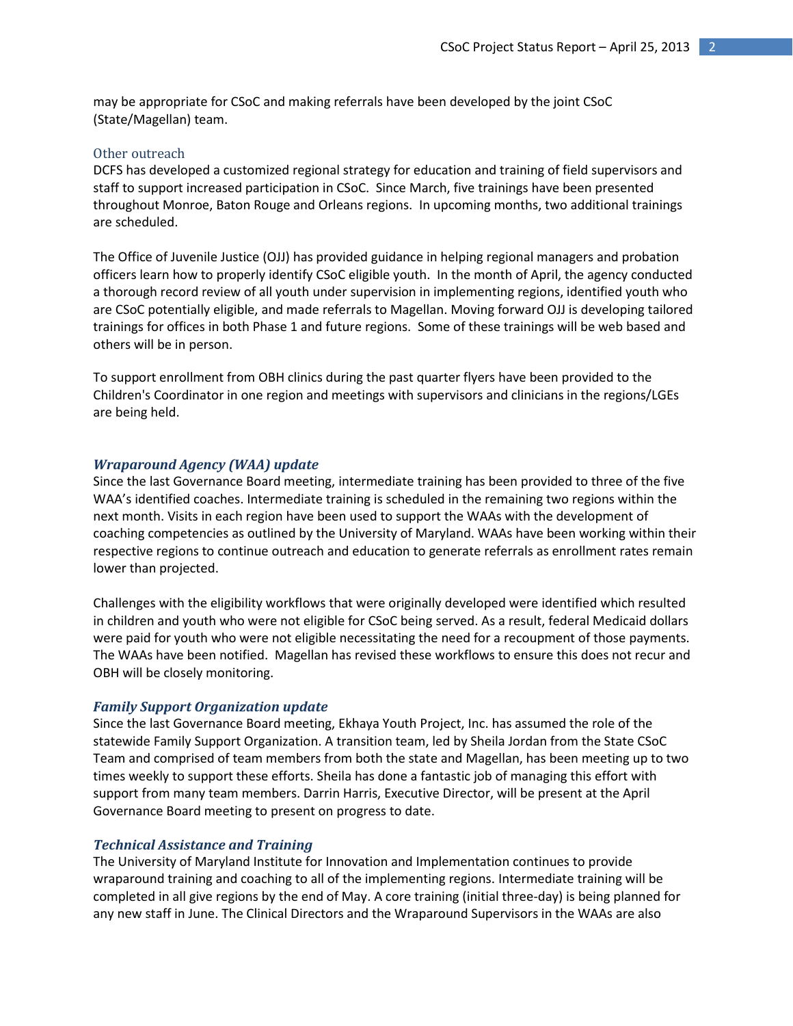may be appropriate for CSoC and making referrals have been developed by the joint CSoC (State/Magellan) team.

### Other outreach

DCFS has developed a customized regional strategy for education and training of field supervisors and staff to support increased participation in CSoC. Since March, five trainings have been presented throughout Monroe, Baton Rouge and Orleans regions. In upcoming months, two additional trainings are scheduled.

The Office of Juvenile Justice (OJJ) has provided guidance in helping regional managers and probation officers learn how to properly identify CSoC eligible youth. In the month of April, the agency conducted a thorough record review of all youth under supervision in implementing regions, identified youth who are CSoC potentially eligible, and made referrals to Magellan. Moving forward OJJ is developing tailored trainings for offices in both Phase 1 and future regions. Some of these trainings will be web based and others will be in person.

To support enrollment from OBH clinics during the past quarter flyers have been provided to the Children's Coordinator in one region and meetings with supervisors and clinicians in the regions/LGEs are being held.

## *Wraparound Agency (WAA) update*

Since the last Governance Board meeting, intermediate training has been provided to three of the five WAA's identified coaches. Intermediate training is scheduled in the remaining two regions within the next month. Visits in each region have been used to support the WAAs with the development of coaching competencies as outlined by the University of Maryland. WAAs have been working within their respective regions to continue outreach and education to generate referrals as enrollment rates remain lower than projected.

Challenges with the eligibility workflows that were originally developed were identified which resulted in children and youth who were not eligible for CSoC being served. As a result, federal Medicaid dollars were paid for youth who were not eligible necessitating the need for a recoupment of those payments. The WAAs have been notified. Magellan has revised these workflows to ensure this does not recur and OBH will be closely monitoring.

### *Family Support Organization update*

Since the last Governance Board meeting, Ekhaya Youth Project, Inc. has assumed the role of the statewide Family Support Organization. A transition team, led by Sheila Jordan from the State CSoC Team and comprised of team members from both the state and Magellan, has been meeting up to two times weekly to support these efforts. Sheila has done a fantastic job of managing this effort with support from many team members. Darrin Harris, Executive Director, will be present at the April Governance Board meeting to present on progress to date.

### *Technical Assistance and Training*

The University of Maryland Institute for Innovation and Implementation continues to provide wraparound training and coaching to all of the implementing regions. Intermediate training will be completed in all give regions by the end of May. A core training (initial three-day) is being planned for any new staff in June. The Clinical Directors and the Wraparound Supervisors in the WAAs are also